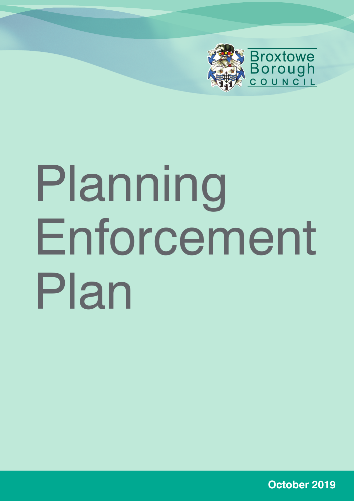

# Planning Enforcement Plan

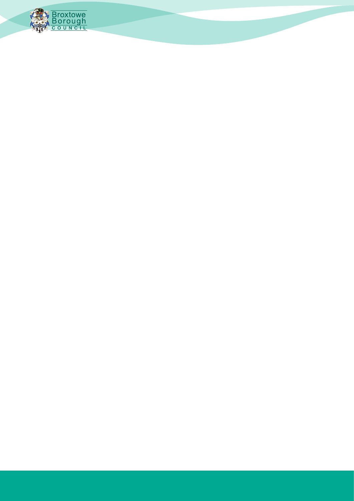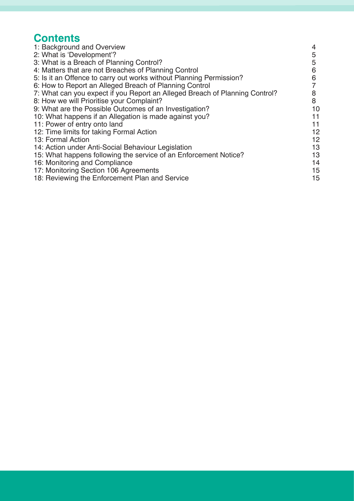# **Contents**

| 1: Background and Overview                                                  |    |
|-----------------------------------------------------------------------------|----|
| 2: What is 'Development'?                                                   | 5  |
| 3: What is a Breach of Planning Control?                                    | 5  |
| 4: Matters that are not Breaches of Planning Control                        | 6  |
| 5: Is it an Offence to carry out works without Planning Permission?         | 6  |
| 6: How to Report an Alleged Breach of Planning Control                      |    |
| 7: What can you expect if you Report an Alleged Breach of Planning Control? | 8  |
| 8: How we will Prioritise your Complaint?                                   | 8  |
| 9: What are the Possible Outcomes of an Investigation?                      | 10 |
| 10: What happens if an Allegation is made against you?                      | 11 |
| 11: Power of entry onto land                                                | 11 |
| 12: Time limits for taking Formal Action                                    | 12 |
| 13: Formal Action                                                           | 12 |
| 14: Action under Anti-Social Behaviour Legislation                          | 13 |
| 15: What happens following the service of an Enforcement Notice?            | 13 |
| 16: Monitoring and Compliance                                               | 14 |
| 17: Monitoring Section 106 Agreements                                       | 15 |
| 18: Reviewing the Enforcement Plan and Service                              | 15 |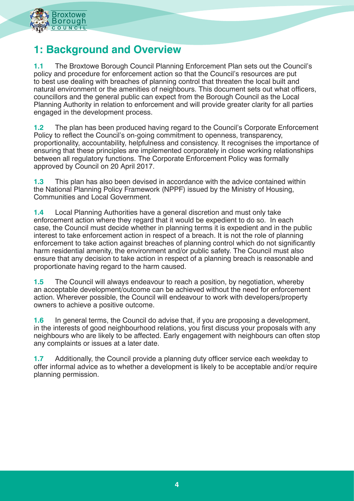<span id="page-3-0"></span>

# **1: Background and Overview**

**1.1** The Broxtowe Borough Council Planning Enforcement Plan sets out the Council's policy and procedure for enforcement action so that the Council's resources are put to best use dealing with breaches of planning control that threaten the local built and natural environment or the amenities of neighbours. This document sets out what officers, councillors and the general public can expect from the Borough Council as the Local Planning Authority in relation to enforcement and will provide greater clarity for all parties engaged in the development process.

**1.2** The plan has been produced having regard to the Council's Corporate Enforcement Policy to reflect the Council's on-going commitment to openness, transparency, proportionality, accountability, helpfulness and consistency. It recognises the importance of ensuring that these principles are implemented corporately in close working relationships between all regulatory functions. The Corporate Enforcement Policy was formally approved by Council on 20 April 2017.

**1.3** This plan has also been devised in accordance with the advice contained within the National Planning Policy Framework (NPPF) issued by the Ministry of Housing, Communities and Local Government.

**1.4** Local Planning Authorities have a general discretion and must only take enforcement action where they regard that it would be expedient to do so. In each case, the Council must decide whether in planning terms it is expedient and in the public interest to take enforcement action in respect of a breach. It is not the role of planning enforcement to take action against breaches of planning control which do not significantly harm residential amenity, the environment and/or public safety. The Council must also ensure that any decision to take action in respect of a planning breach is reasonable and proportionate having regard to the harm caused.

**1.5** The Council will always endeavour to reach a position, by negotiation, whereby an acceptable development/outcome can be achieved without the need for enforcement action. Wherever possible, the Council will endeavour to work with developers/property owners to achieve a positive outcome.

**1.6** In general terms, the Council do advise that, if you are proposing a development, in the interests of good neighbourhood relations, you first discuss your proposals with any neighbours who are likely to be affected. Early engagement with neighbours can often stop any complaints or issues at a later date.

**1.7** Additionally, the Council provide a planning duty officer service each weekday to offer informal advice as to whether a development is likely to be acceptable and/or require planning permission.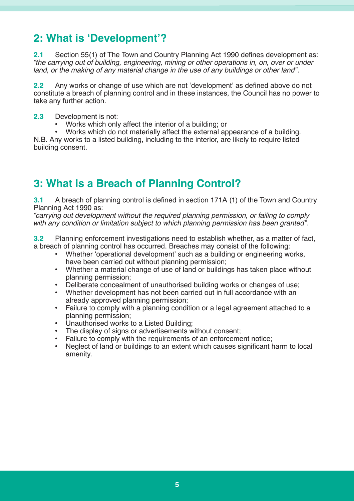# <span id="page-4-0"></span>**2: What is 'Development'?**

**2.1** Section 55(1) of The Town and Country Planning Act 1990 defines development as: "the carrying out of building, engineering, mining or other operations in, on, over or under land, or the making of any material change in the use of any buildings or other land".

**2.2** Any works or change of use which are not 'development' as defined above do not constitute a breach of planning control and in these instances, the Council has no power to take any further action.

### **2.3** Development is not:

- Works which only affect the interior of a building; or
- Works which do not materially affect the external appearance of a building.

N.B. Any works to a listed building, including to the interior, are likely to require listed building consent.

# **3: What is a Breach of Planning Control?**

**3.1** A breach of planning control is defined in section 171A (1) of the Town and Country Planning Act 1990 as:

"carrying out development without the required planning permission, or failing to comply with any condition or limitation subject to which planning permission has been granted".

**3.2** Planning enforcement investigations need to establish whether, as a matter of fact, a breach of planning control has occurred. Breaches may consist of the following:

- Whether 'operational development' such as a building or engineering works, have been carried out without planning permission;
- Whether a material change of use of land or buildings has taken place without planning permission;
- Deliberate concealment of unauthorised building works or changes of use;
- Whether development has not been carried out in full accordance with an already approved planning permission;
- Failure to comply with a planning condition or a legal agreement attached to a planning permission;
- Unauthorised works to a Listed Building;
- The display of signs or advertisements without consent;
- Failure to comply with the requirements of an enforcement notice;
- Neglect of land or buildings to an extent which causes significant harm to local amenity.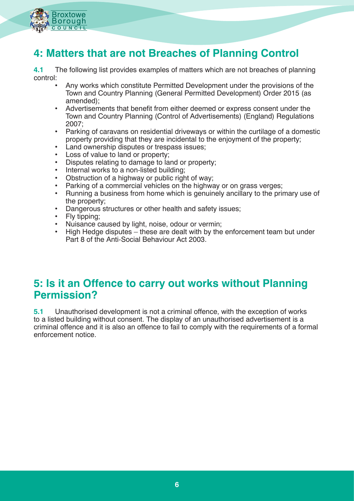<span id="page-5-0"></span>

# **4: Matters that are not Breaches of Planning Control**

**4.1** The following list provides examples of matters which are not breaches of planning control:

- Any works which constitute Permitted Development under the provisions of the Town and Country Planning (General Permitted Development) Order 2015 (as amended);
- Advertisements that benefit from either deemed or express consent under the Town and Country Planning (Control of Advertisements) (England) Regulations 2007;
- Parking of caravans on residential driveways or within the curtilage of a domestic property providing that they are incidental to the enjoyment of the property;
- Land ownership disputes or trespass issues;
- Loss of value to land or property;
- Disputes relating to damage to land or property;
- Internal works to a non-listed building;
- Obstruction of a highway or public right of way;
- Parking of a commercial vehicles on the highway or on grass verges;
- Running a business from home which is genuinely ancillary to the primary use of the property;
- Dangerous structures or other health and safety issues;
- Fly tipping;
- Nuisance caused by light, noise, odour or vermin;
- High Hedge disputes these are dealt with by the enforcement team but under Part 8 of the Anti-Social Behaviour Act 2003.

# **5: Is it an Offence to carry out works without Planning Permission?**

**5.1** Unauthorised development is not a criminal offence, with the exception of works to a listed building without consent. The display of an unauthorised advertisement is a criminal offence and it is also an offence to fail to comply with the requirements of a formal enforcement notice.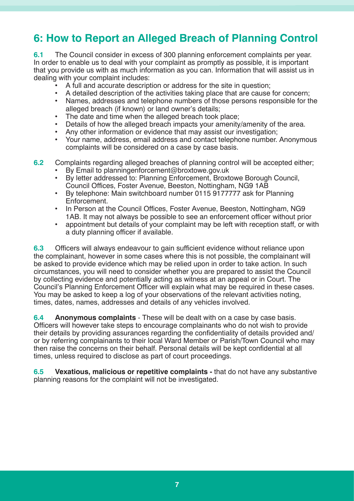# <span id="page-6-0"></span>**6: How to Report an Alleged Breach of Planning Control**

**6.1** The Council consider in excess of 300 planning enforcement complaints per year. In order to enable us to deal with your complaint as promptly as possible, it is important that you provide us with as much information as you can. Information that will assist us in dealing with your complaint includes:

- A full and accurate description or address for the site in question;
- A detailed description of the activities taking place that are cause for concern;<br>• Names, addresses and telephone numbers of those persons responsible for the
- Names, addresses and telephone numbers of those persons responsible for the alleged breach (if known) or land owner's details;
- The date and time when the alleged breach took place;
- Details of how the alleged breach impacts your amenity/amenity of the area.
- Any other information or evidence that may assist our investigation;
- Your name, address, email address and contact telephone number. Anonymous complaints will be considered on a case by case basis.
- **6.2** Complaints regarding alleged breaches of planning control will be accepted either;
	- By Email to planningenforcement@broxtowe.gov.uk
	- By letter addressed to: Planning Enforcement, Broxtowe Borough Council, Council Offices, Foster Avenue, Beeston, Nottingham, NG9 1AB
	- By telephone: Main switchboard number 0115 9177777 ask for Planning Enforcement.
	- In Person at the Council Offices, Foster Avenue, Beeston, Nottingham, NG9 1AB. It may not always be possible to see an enforcement officer without prior
	- appointment but details of your complaint may be left with reception staff, or with a duty planning officer if available.

**6.3** Officers will always endeavour to gain sufficient evidence without reliance upon the complainant, however in some cases where this is not possible, the complainant will be asked to provide evidence which may be relied upon in order to take action. In such circumstances, you will need to consider whether you are prepared to assist the Council by collecting evidence and potentially acting as witness at an appeal or in Court. The Council's Planning Enforcement Officer will explain what may be required in these cases. You may be asked to keep a log of your observations of the relevant activities noting, times, dates, names, addresses and details of any vehicles involved.

**6.4 Anonymous complaints** - These will be dealt with on a case by case basis. Officers will however take steps to encourage complainants who do not wish to provide their details by providing assurances regarding the confidentiality of details provided and/ or by referring complainants to their local Ward Member or Parish/Town Council who may then raise the concerns on their behalf. Personal details will be kept confidential at all times, unless required to disclose as part of court proceedings.

**6.5 Vexatious, malicious or repetitive complaints -** that do not have any substantive planning reasons for the complaint will not be investigated.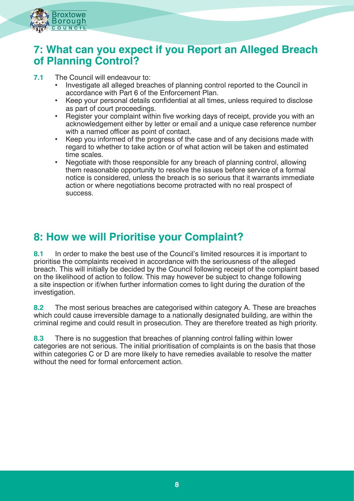<span id="page-7-0"></span>

# **7: What can you expect if you Report an Alleged Breach of Planning Control?**

- **7.1** The Council will endeavour to:
	- Investigate all alleged breaches of planning control reported to the Council in accordance with Part 6 of the Enforcement Plan.
	- Keep your personal details confidential at all times, unless required to disclose as part of court proceedings.
	- Register your complaint within five working days of receipt, provide you with an acknowledgement either by letter or email and a unique case reference number with a named officer as point of contact.
	- Keep you informed of the progress of the case and of any decisions made with regard to whether to take action or of what action will be taken and estimated time scales.
	- Negotiate with those responsible for any breach of planning control, allowing them reasonable opportunity to resolve the issues before service of a formal notice is considered, unless the breach is so serious that it warrants immediate action or where negotiations become protracted with no real prospect of success.

# **8: How we will Prioritise your Complaint?**

**8.1** In order to make the best use of the Council's limited resources it is important to prioritise the complaints received in accordance with the seriousness of the alleged breach. This will initially be decided by the Council following receipt of the complaint based on the likelihood of action to follow. This may however be subject to change following a site inspection or if/when further information comes to light during the duration of the investigation.

**8.2** The most serious breaches are categorised within category A. These are breaches which could cause irreversible damage to a nationally designated building, are within the criminal regime and could result in prosecution. They are therefore treated as high priority.

**8.3** There is no suggestion that breaches of planning control falling within lower categories are not serious. The initial prioritisation of complaints is on the basis that those within categories C or D are more likely to have remedies available to resolve the matter without the need for formal enforcement action.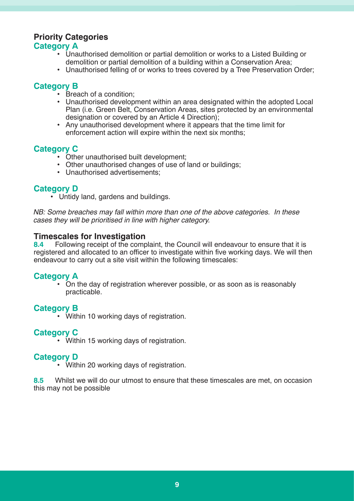# **Priority Categories**

### **Category A**

- Unauthorised demolition or partial demolition or works to a Listed Building or demolition or partial demolition of a building within a Conservation Area;
- Unauthorised felling of or works to trees covered by a Tree Preservation Order;

### **Category B**

- Breach of a condition;
- Unauthorised development within an area designated within the adopted Local Plan (i.e. Green Belt, Conservation Areas, sites protected by an environmental designation or covered by an Article 4 Direction);
- Any unauthorised development where it appears that the time limit for enforcement action will expire within the next six months;

### **Category C**

- Other unauthorised built development;
- Other unauthorised changes of use of land or buildings;
- Unauthorised advertisements;

### **Category D**

• Untidy land, gardens and buildings.

NB: Some breaches may fall within more than one of the above categories. In these cases they will be prioritised in line with higher category.

### **Timescales for Investigation**

**8.4** Following receipt of the complaint, the Council will endeavour to ensure that it is registered and allocated to an officer to investigate within five working days. We will then endeavour to carry out a site visit within the following timescales:

### **Category A**

• On the day of registration wherever possible, or as soon as is reasonably practicable.

### **Category B**

• Within 10 working days of registration.

### **Category C**

• Within 15 working days of registration.

### **Category D**

• Within 20 working days of registration.

**8.5** Whilst we will do our utmost to ensure that these timescales are met, on occasion this may not be possible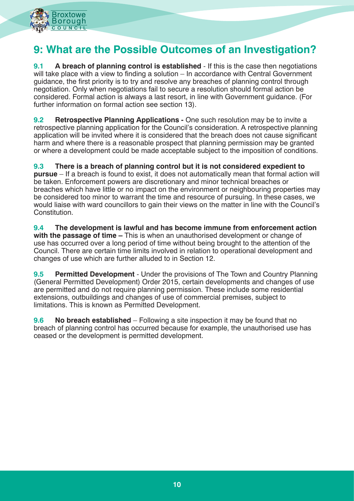<span id="page-9-0"></span>

# **9: What are the Possible Outcomes of an Investigation?**

**9.1 A breach of planning control is established** - If this is the case then negotiations will take place with a view to finding a solution – In accordance with Central Government guidance, the first priority is to try and resolve any breaches of planning control through negotiation. Only when negotiations fail to secure a resolution should formal action be considered. Formal action is always a last resort, in line with Government guidance. (For further information on formal action see section 13).

**9.2 Retrospective Planning Applications -** One such resolution may be to invite a retrospective planning application for the Council's consideration. A retrospective planning application will be invited where it is considered that the breach does not cause significant harm and where there is a reasonable prospect that planning permission may be granted or where a development could be made acceptable subject to the imposition of conditions.

**9.3 There is a breach of planning control but it is not considered expedient to pursue** – If a breach is found to exist, it does not automatically mean that formal action will be taken. Enforcement powers are discretionary and minor technical breaches or breaches which have little or no impact on the environment or neighbouring properties may be considered too minor to warrant the time and resource of pursuing. In these cases, we would liaise with ward councillors to gain their views on the matter in line with the Council's Constitution.

**9.4 The development is lawful and has become immune from enforcement action with the passage of time –** This is when an unauthorised development or change of use has occurred over a long period of time without being brought to the attention of the Council. There are certain time limits involved in relation to operational development and changes of use which are further alluded to in Section 12.

**9.5 Permitted Development** - Under the provisions of The Town and Country Planning (General Permitted Development) Order 2015, certain developments and changes of use are permitted and do not require planning permission. These include some residential extensions, outbuildings and changes of use of commercial premises, subject to limitations. This is known as Permitted Development.

**9.6 No breach established** – Following a site inspection it may be found that no breach of planning control has occurred because for example, the unauthorised use has ceased or the development is permitted development.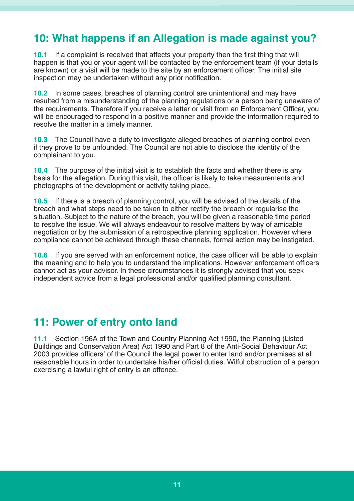# <span id="page-10-0"></span>**10: What happens if an Allegation is made against you?**

**10.1** If a complaint is received that affects your property then the first thing that will happen is that you or your agent will be contacted by the enforcement team (if your details are known) or a visit will be made to the site by an enforcement officer. The initial site inspection may be undertaken without any prior notification.

**10.2** In some cases, breaches of planning control are unintentional and may have resulted from a misunderstanding of the planning regulations or a person being unaware of the requirements. Therefore if you receive a letter or visit from an Enforcement Officer, you will be encouraged to respond in a positive manner and provide the information required to resolve the matter in a timely manner.

**10.3** The Council have a duty to investigate alleged breaches of planning control even if they prove to be unfounded. The Council are not able to disclose the identity of the complainant to you.

**10.4** The purpose of the initial visit is to establish the facts and whether there is any basis for the allegation. During this visit, the officer is likely to take measurements and photographs of the development or activity taking place.

**10.5** If there is a breach of planning control, you will be advised of the details of the breach and what steps need to be taken to either rectify the breach or regularise the situation. Subject to the nature of the breach, you will be given a reasonable time period to resolve the issue. We will always endeavour to resolve matters by way of amicable negotiation or by the submission of a retrospective planning application. However where compliance cannot be achieved through these channels, formal action may be instigated.

**10.6** If you are served with an enforcement notice, the case officer will be able to explain the meaning and to help you to understand the implications. However enforcement officers cannot act as your advisor. In these circumstances it is strongly advised that you seek independent advice from a legal professional and/or qualified planning consultant.

# **11: Power of entry onto land**

**11.1** Section 196A of the Town and Country Planning Act 1990, the Planning (Listed Buildings and Conservation Area) Act 1990 and Part 8 of the Anti-Social Behaviour Act 2003 provides officers' of the Council the legal power to enter land and/or premises at all reasonable hours in order to undertake his/her official duties. Wilful obstruction of a person exercising a lawful right of entry is an offence.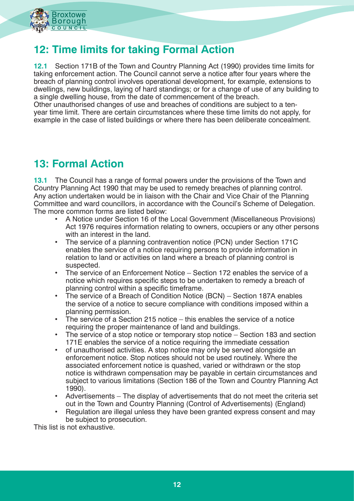<span id="page-11-0"></span>

# **12: Time limits for taking Formal Action**

**12.1** Section 171B of the Town and Country Planning Act (1990) provides time limits for taking enforcement action. The Council cannot serve a notice after four years where the breach of planning control involves operational development, for example, extensions to dwellings, new buildings, laying of hard standings; or for a change of use of any building to a single dwelling house, from the date of commencement of the breach.

Other unauthorised changes of use and breaches of conditions are subject to a tenyear time limit. There are certain circumstances where these time limits do not apply, for example in the case of listed buildings or where there has been deliberate concealment.

# **13: Formal Action**

**13.1** The Council has a range of formal powers under the provisions of the Town and Country Planning Act 1990 that may be used to remedy breaches of planning control. Any action undertaken would be in liaison with the Chair and Vice Chair of the Planning Committee and ward councillors, in accordance with the Council's Scheme of Delegation. The more common forms are listed below:

- A Notice under Section 16 of the Local Government (Miscellaneous Provisions) Act 1976 requires information relating to owners, occupiers or any other persons with an interest in the land.
- The service of a planning contravention notice (PCN) under Section 171C enables the service of a notice requiring persons to provide information in relation to land or activities on land where a breach of planning control is suspected.
- The service of an Enforcement Notice Section 172 enables the service of a notice which requires specific steps to be undertaken to remedy a breach of planning control within a specific timeframe.
- The service of a Breach of Condition Notice (BCN) Section 187A enables the service of a notice to secure compliance with conditions imposed within a planning permission.
- The service of a Section 215 notice this enables the service of a notice requiring the proper maintenance of land and buildings.
- The service of a stop notice or temporary stop notice Section 183 and section 171E enables the service of a notice requiring the immediate cessation
- of unauthorised activities. A stop notice may only be served alongside an enforcement notice. Stop notices should not be used routinely. Where the associated enforcement notice is quashed, varied or withdrawn or the stop notice is withdrawn compensation may be payable in certain circumstances and subject to various limitations (Section 186 of the Town and Country Planning Act 1990).
- Advertisements The display of advertisements that do not meet the criteria set out in the Town and Country Planning (Control of Advertisements) (England)
- Regulation are illegal unless they have been granted express consent and may be subject to prosecution.

This list is not exhaustive.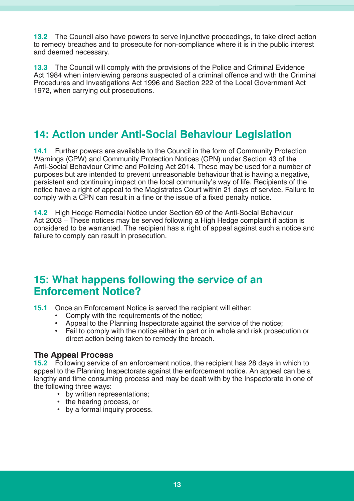<span id="page-12-0"></span>**13.2** The Council also have powers to serve injunctive proceedings, to take direct action to remedy breaches and to prosecute for non-compliance where it is in the public interest and deemed necessary.

**13.3** The Council will comply with the provisions of the Police and Criminal Evidence Act 1984 when interviewing persons suspected of a criminal offence and with the Criminal Procedures and Investigations Act 1996 and Section 222 of the Local Government Act 1972, when carrying out prosecutions.

# **14: Action under Anti-Social Behaviour Legislation**

**14.1** Further powers are available to the Council in the form of Community Protection Warnings (CPW) and Community Protection Notices (CPN) under Section 43 of the Anti-Social Behaviour Crime and Policing Act 2014. These may be used for a number of purposes but are intended to prevent unreasonable behaviour that is having a negative, persistent and continuing impact on the local community's way of life. Recipients of the notice have a right of appeal to the Magistrates Court within 21 days of service. Failure to comply with a CPN can result in a fine or the issue of a fixed penalty notice.

**14.2** High Hedge Remedial Notice under Section 69 of the Anti-Social Behaviour Act 2003 – These notices may be served following a High Hedge complaint if action is considered to be warranted. The recipient has a right of appeal against such a notice and failure to comply can result in prosecution.

# **15: What happens following the service of an Enforcement Notice?**

- **15.1** Once an Enforcement Notice is served the recipient will either:
	- Comply with the requirements of the notice;
	- Appeal to the Planning Inspectorate against the service of the notice;
	- Fail to comply with the notice either in part or in whole and risk prosecution or direct action being taken to remedy the breach.

### **The Appeal Process**

**15.2** Following service of an enforcement notice, the recipient has 28 days in which to appeal to the Planning Inspectorate against the enforcement notice. An appeal can be a lengthy and time consuming process and may be dealt with by the Inspectorate in one of the following three ways:

- by written representations;
- the hearing process, or
- by a formal inquiry process.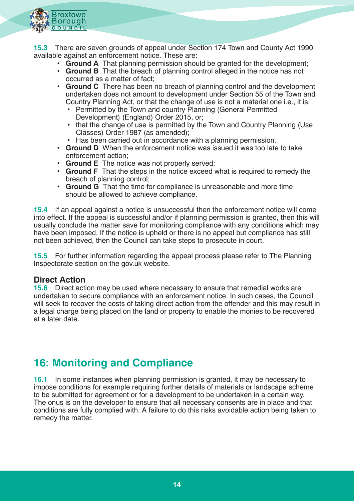<span id="page-13-0"></span>

**15.3** There are seven grounds of appeal under Section 174 Town and County Act 1990 available against an enforcement notice. These are:

- **• Ground A** That planning permission should be granted for the development;
- **• Ground B** That the breach of planning control alleged in the notice has not occurred as a matter of fact;
- **• Ground C** There has been no breach of planning control and the development undertaken does not amount to development under Section 55 of the Town and Country Planning Act, or that the change of use is not a material one i.e., it is;
	- Permitted by the Town and country Planning (General Permitted Development) (England) Order 2015, or;
	- that the change of use is permitted by the Town and Country Planning (Use Classes) Order 1987 (as amended);
	- Has been carried out in accordance with a planning permission.
- **• Ground D** When the enforcement notice was issued it was too late to take enforcement action;
- **• Ground E** The notice was not properly served;
- **• Ground F** That the steps in the notice exceed what is required to remedy the breach of planning control;
- **• Ground G** That the time for compliance is unreasonable and more time should be allowed to achieve compliance.

**15.4** If an appeal against a notice is unsuccessful then the enforcement notice will come into effect. If the appeal is successful and/or if planning permission is granted, then this will usually conclude the matter save for monitoring compliance with any conditions which may have been imposed. If the notice is upheld or there is no appeal but compliance has still not been achieved, then the Council can take steps to prosecute in court.

**15.5** For further information regarding the appeal process please refer to The Planning Inspectorate section on the gov.uk website.

### **Direct Action**

**15.6** Direct action may be used where necessary to ensure that remedial works are undertaken to secure compliance with an enforcement notice. In such cases, the Council will seek to recover the costs of taking direct action from the offender and this may result in a legal charge being placed on the land or property to enable the monies to be recovered at a later date.

# **16: Monitoring and Compliance**

**16.1** In some instances when planning permission is granted, it may be necessary to impose conditions for example requiring further details of materials or landscape scheme to be submitted for agreement or for a development to be undertaken in a certain way. The onus is on the developer to ensure that all necessary consents are in place and that conditions are fully complied with. A failure to do this risks avoidable action being taken to remedy the matter.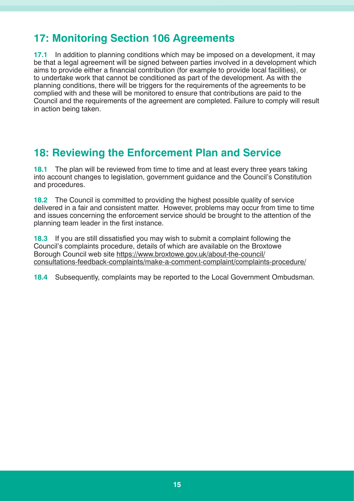# <span id="page-14-0"></span>**17: Monitoring Section 106 Agreements**

**17.1** In addition to planning conditions which may be imposed on a development, it may be that a legal agreement will be signed between parties involved in a development which aims to provide either a financial contribution (for example to provide local facilities), or to undertake work that cannot be conditioned as part of the development. As with the planning conditions, there will be triggers for the requirements of the agreements to be complied with and these will be monitored to ensure that contributions are paid to the Council and the requirements of the agreement are completed. Failure to comply will result in action being taken.

# **18: Reviewing the Enforcement Plan and Service**

**18.1** The plan will be reviewed from time to time and at least every three years taking into account changes to legislation, government guidance and the Council's Constitution and procedures.

**18.2** The Council is committed to providing the highest possible quality of service delivered in a fair and consistent matter. However, problems may occur from time to time and issues concerning the enforcement service should be brought to the attention of the planning team leader in the first instance.

**18.3** If you are still dissatisfied you may wish to submit a complaint following the Council's complaints procedure, details of which are available on the Broxtowe Borough Council web site [https://www.broxtowe.gov.uk/about-the-council/](https://www.broxtowe.gov.uk/about-the-%09council/consultations-feedback-complaints/make-a-comment-%09complaint/complaints-procedure/) [consultations-feedback-complaints/make-a-comment-complaint/complaints-procedure/](https://www.broxtowe.gov.uk/about-the-%09council/consultations-feedback-complaints/make-a-comment-%09complaint/complaints-procedure/)

**18.4** Subsequently, complaints may be reported to the Local Government Ombudsman.